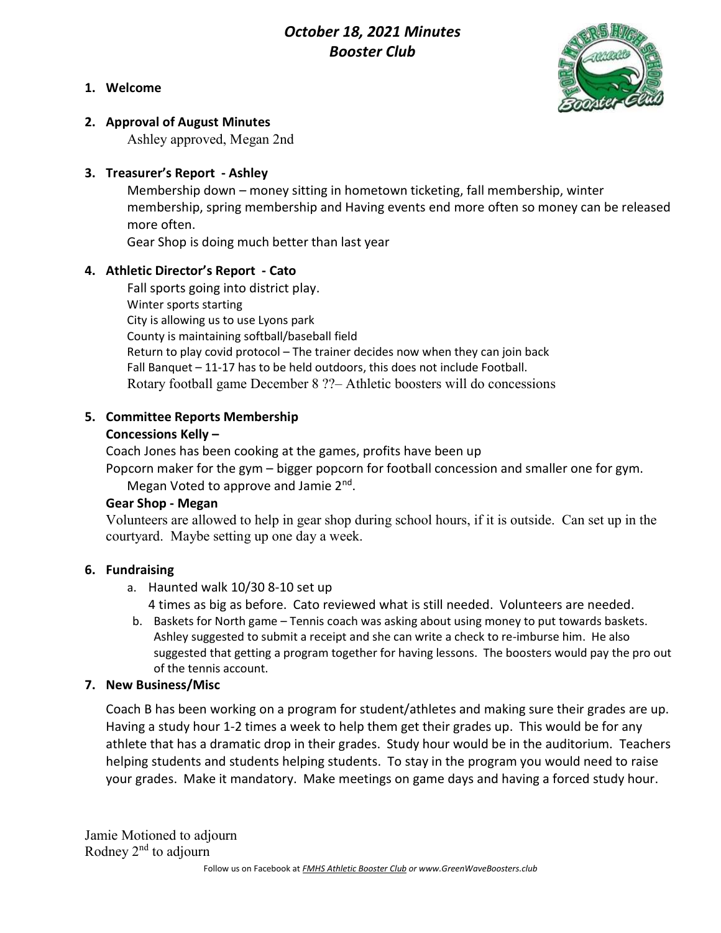# October 18, 2021 Minutes Booster Club

#### 1. Welcome



#### 2. Approval of August Minutes

Ashley approved, Megan 2nd

# 3. Treasurer's Report - Ashley

Membership down – money sitting in hometown ticketing, fall membership, winter membership, spring membership and Having events end more often so money can be released more often.

Gear Shop is doing much better than last year

## 4. Athletic Director's Report - Cato

Fall sports going into district play. Winter sports starting City is allowing us to use Lyons park County is maintaining softball/baseball field Return to play covid protocol – The trainer decides now when they can join back Fall Banquet – 11-17 has to be held outdoors, this does not include Football. Rotary football game December 8 ??– Athletic boosters will do concessions

# 5. Committee Reports Membership

#### Concessions Kelly –

Coach Jones has been cooking at the games, profits have been up

Popcorn maker for the gym – bigger popcorn for football concession and smaller one for gym. Megan Voted to approve and Jamie 2<sup>nd</sup>.

## Gear Shop - Megan

Volunteers are allowed to help in gear shop during school hours, if it is outside. Can set up in the courtyard. Maybe setting up one day a week.

## 6. Fundraising

a. Haunted walk 10/30 8-10 set up

4 times as big as before. Cato reviewed what is still needed. Volunteers are needed.

b. Baskets for North game – Tennis coach was asking about using money to put towards baskets. Ashley suggested to submit a receipt and she can write a check to re-imburse him. He also suggested that getting a program together for having lessons. The boosters would pay the pro out of the tennis account.

## 7. New Business/Misc

Coach B has been working on a program for student/athletes and making sure their grades are up. Having a study hour 1-2 times a week to help them get their grades up. This would be for any athlete that has a dramatic drop in their grades. Study hour would be in the auditorium. Teachers helping students and students helping students. To stay in the program you would need to raise your grades. Make it mandatory. Make meetings on game days and having a forced study hour.